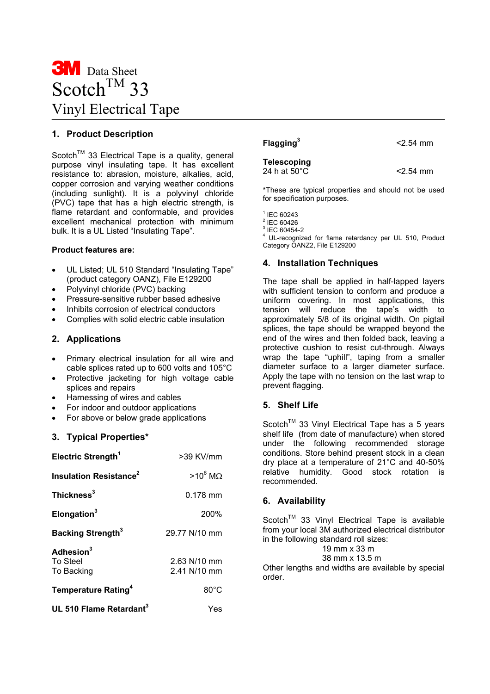# **3M** Data Sheet Scotch<sup>TM</sup> 33 Vinyl Electrical Tape

## **1. Product Description**

Scotch<sup>™</sup> 33 Electrical Tape is a quality, general purpose vinyl insulating tape. It has excellent resistance to: abrasion, moisture, alkalies, acid, copper corrosion and varying weather conditions (including sunlight). It is a polyvinyl chloride (PVC) tape that has a high electric strength, is flame retardant and conformable, and provides excellent mechanical protection with minimum bulk. It is a UL Listed "Insulating Tape".

## **Product features are:**

- UL Listed; UL 510 Standard "Insulating Tape" (product category OANZ), File E129200
- Polyvinyl chloride (PVC) backing
- Pressure-sensitive rubber based adhesive
- Inhibits corrosion of electrical conductors
- Complies with solid electric cable insulation

## **2. Applications**

- Primary electrical insulation for all wire and cable splices rated up to 600 volts and 105°C
- Protective jacketing for high voltage cable splices and repairs
- Harnessing of wires and cables
- For indoor and outdoor applications
- For above or below grade applications

## **3. Typical Properties\***

| Electric Strength <sup>1</sup>                  | $>39$ KV/mm                    |
|-------------------------------------------------|--------------------------------|
| <b>Insulation Resistance<sup>2</sup></b>        | $>10^6$ MO                     |
| Thickness <sup>3</sup>                          | $0.178$ mm                     |
| Elongation <sup>3</sup>                         | 200%                           |
| <b>Backing Strength</b> <sup>3</sup>            | 29.77 N/10 mm                  |
| Adhesion <sup>3</sup><br>To Steel<br>To Backing | $2.63$ N/10 mm<br>2.41 N/10 mm |
| Temperature Rating <sup>4</sup>                 | $80^{\circ}$ C                 |
| UL 510 Flame Retardant <sup>3</sup>             | Yes                            |

## **Flagging3**

**Telescoping**  24 h at  $50^{\circ}$ C  $\leq$  2.54 mm

<2.54 mm

**\***These are typical properties and should not be used for specification purposes.

- $1$  IEC 60243
- $2$  IEC 60426
- $3$  IEC 60454-2

4 UL-recognized for flame retardancy per UL 510, Product Category OANZ2, File E129200

## **4. Installation Techniques**

The tape shall be applied in half-lapped layers with sufficient tension to conform and produce a uniform covering. In most applications, this tension will reduce the tape's width to approximately 5/8 of its original width. On pigtail splices, the tape should be wrapped beyond the end of the wires and then folded back, leaving a protective cushion to resist cut-through. Always wrap the tape "uphill", taping from a smaller diameter surface to a larger diameter surface. Apply the tape with no tension on the last wrap to prevent flagging.

## **5. Shelf Life**

Scotch<sup>™</sup> 33 Vinyl Electrical Tape has a 5 years shelf life (from date of manufacture) when stored under the following recommended storage conditions. Store behind present stock in a clean dry place at a temperature of 21°C and 40-50% relative humidity. Good stock rotation is recommended.

## **6. Availability**

Scotch<sup>™</sup> 33 Vinyl Electrical Tape is available from your local 3M authorized electrical distributor in the following standard roll sizes:

19 mm x 33 m

38 mm x 13.5 m

Other lengths and widths are available by special order.